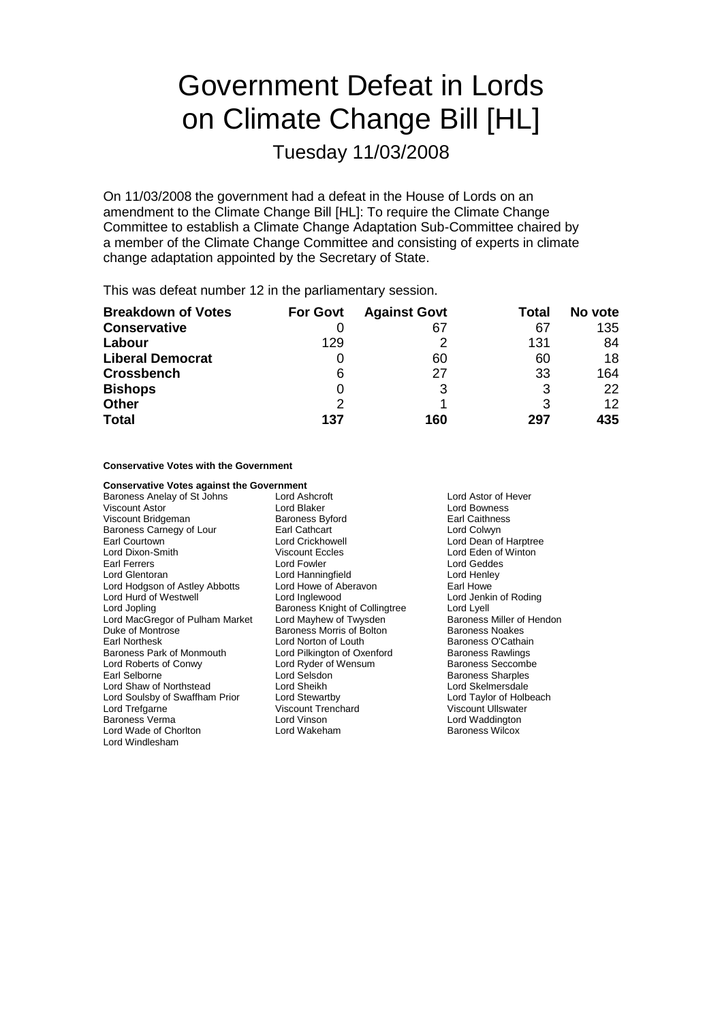# Government Defeat in Lords on Climate Change Bill [HL]

Tuesday 11/03/2008

On 11/03/2008 the government had a defeat in the House of Lords on an amendment to the Climate Change Bill [HL]: To require the Climate Change Committee to establish a Climate Change Adaptation Sub-Committee chaired by a member of the Climate Change Committee and consisting of experts in climate change adaptation appointed by the Secretary of State.

This was defeat number 12 in the parliamentary session.

| <b>Breakdown of Votes</b> | <b>For Govt</b> | <b>Against Govt</b> | Total | No vote |
|---------------------------|-----------------|---------------------|-------|---------|
| <b>Conservative</b>       |                 | 67                  | 67    | 135     |
| Labour                    | 129             | 2                   | 131   | 84      |
| <b>Liberal Democrat</b>   |                 | 60                  | 60    | 18      |
| <b>Crossbench</b>         | 6               | 27                  | 33    | 164     |
| <b>Bishops</b>            | $\Omega$        | 3                   | 3     | 22      |
| <b>Other</b>              | $\mathcal{P}$   |                     | 3     | 12      |
| <b>Total</b>              | 137             | 160                 | 297   | 435     |

**Conservative Votes with the Government**

| <b>Conservative Votes against the Government</b> |                                |                           |
|--------------------------------------------------|--------------------------------|---------------------------|
| Baroness Anelay of St Johns                      | Lord Ashcroft                  | Lord Astor of Hever       |
| Viscount Astor                                   | Lord Blaker                    | Lord Bowness              |
| Viscount Bridgeman                               | <b>Baroness Byford</b>         | Earl Caithness            |
| Baroness Carnegy of Lour                         | Earl Cathcart                  | Lord Colwyn               |
| Earl Courtown                                    | <b>Lord Crickhowell</b>        | Lord Dean of Harptree     |
| Lord Dixon-Smith                                 | <b>Viscount Eccles</b>         | Lord Eden of Winton       |
| Earl Ferrers                                     | Lord Fowler                    | Lord Geddes               |
| Lord Glentoran                                   | Lord Hanningfield              | Lord Henley               |
| Lord Hodgson of Astley Abbotts                   | Lord Howe of Aberavon          | Earl Howe                 |
| Lord Hurd of Westwell                            | Lord Inglewood                 | Lord Jenkin of Roding     |
| Lord Jopling                                     | Baroness Knight of Collingtree | Lord Lyell                |
| Lord MacGregor of Pulham Market                  | Lord Mayhew of Twysden         | Baroness Miller of Hendon |
| Duke of Montrose                                 | Baroness Morris of Bolton      | <b>Baroness Noakes</b>    |
| Earl Northesk                                    | Lord Norton of Louth           | Baroness O'Cathain        |
| Baroness Park of Monmouth                        | Lord Pilkington of Oxenford    | <b>Baroness Rawlings</b>  |
| Lord Roberts of Conwy                            | Lord Ryder of Wensum           | <b>Baroness Seccombe</b>  |
| Earl Selborne                                    | Lord Selsdon                   | <b>Baroness Sharples</b>  |
| Lord Shaw of Northstead                          | Lord Sheikh                    | Lord Skelmersdale         |
| Lord Soulsby of Swaffham Prior                   | Lord Stewartby                 | Lord Taylor of Holbeach   |
| Lord Trefgarne                                   | <b>Viscount Trenchard</b>      | <b>Viscount Ullswater</b> |
| <b>Baroness Verma</b>                            | Lord Vinson                    | Lord Waddington           |
| Lord Wade of Chorlton                            | Lord Wakeham                   | <b>Baroness Wilcox</b>    |
| Lord Windlesham                                  |                                |                           |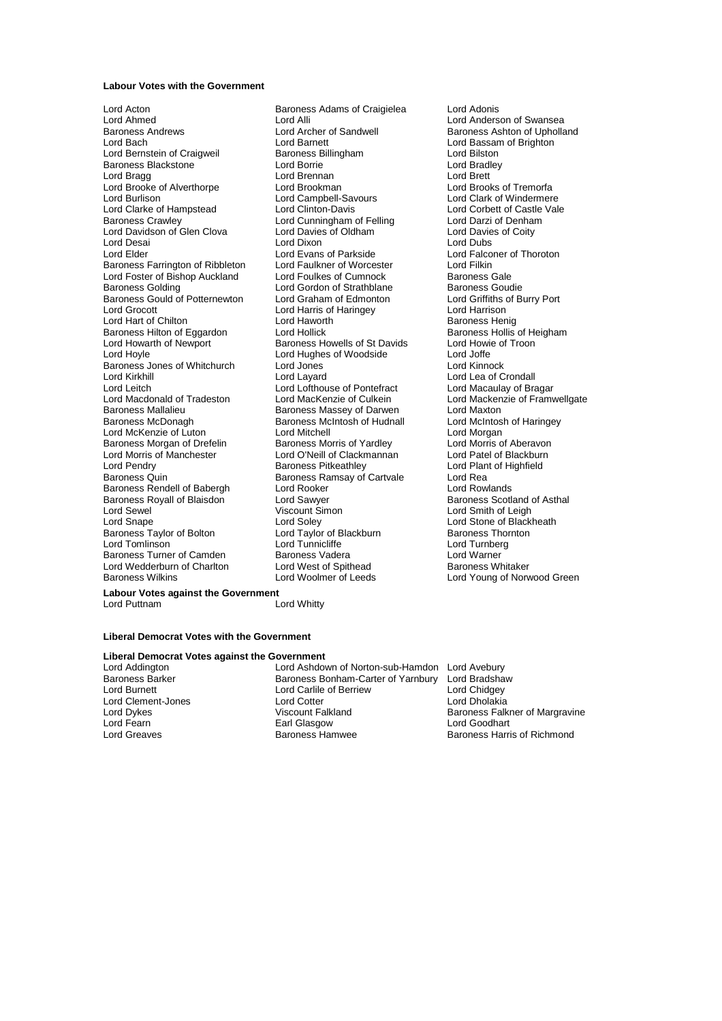#### **Labour Votes with the Government**

Lord Acton Baroness Adams of Craigielea Lord Adonis Lord Ahmed<br>
Lord Anderson of Swansea<br>
Lord Archer of Sandwell<br>
Raroness Andrews<br>
Lord Archer of Sandwell<br>
Raroness Ashton of Upholla Baroness Andrews **Example 2** Lord Archer of Sandwell **Baroness Ashton of Upholland**<br>
Lord Baroness Ashton of Brighton **Cord Baronet**<br>
Lord Baroness Ashton of Brighton Lord Bernstein of Craigweil **Baroness Billingham** Lord Bilston Lord Bilston<br>Baroness Blackstone **Lord Bortie** Lord Borrie **Lord Brackley** Baroness Blackstone Lord Bragg den Lord Brennan March 2016 Exercise Cord Brett<br>Lord Brooke of Alverthorpe Lord Brookman Lord Brooks of Tremorfa Lord Brooke of Alverthorpe Lord Brookman<br>
Lord Burlison<br>
Lord Campbell-Savours Lord Clarke of Hampstead Lord Clinton-Davis Lord Clinton-Davis Lord Corbett of Castle Vale Lord Corbett of Castle Vale Lord Corbett of Castle Vale Lord Corbett of Castle Vale Lord Corbett of Castle Vale Lord Corbett of Cas Lord Davidson of Glen Clova Lord Davies of Oldham Lord Davies Cord Davies Cord Davies Cord Davies Lord Dubs<br>
Lord Desai Lord Dubs Lord Desai Lord Dixon<br>Lord Elder Lord Dixon Lord Dixon Lord Elder **Lord Evans of Parkside** Lord Evans of Parkside Lord Falconer of Thoroton<br>
Baroness Farrington of Ribbleton Lord Faulkner of Worcester Lord Filkin Baroness Farrington of Ribbleton Lord Faulkner of Worcester Lord Filkin<br>Lord Foster of Bishop Auckland Lord Foulkes of Cumnock Baroness Gale Lord Foster of Bishop Auckland Lord Foulkes of Cumnock Baroness Gale<br>Baroness Golding Lord Gordon of Strathblane Baroness Goudie Baroness Gould of Potternewton Lord Graham of Edmonton Lord Griffiths of Haroness Gould of Potternewton Lord Graham of Edmonton Lord Griffiths of Haringey Lord Hart of Chilton **Lord Haworth** Lord Haworth **Communist Communist Communist Communist Communist Communist Communist Baroness Helig Heigham**<br>Baroness Hilton of Eggardon Lord Hollick Communist Communist Baroness Hollis o Baroness Hilton of Eggardon Lord Hollick Baroness Hollis of Heigham Baroness Hollis of Heigham Baroness Hollis<br>Lord Howarth of Newport Baroness Howells of St Davids Lord Howie of Troon Lord Howarth of Newport **Baroness Howells of St Davids** Lord Howie Lord Howie Cord Howie Cord Hughes of Woodside Lord Joffe Baroness Jones of Whitchurch Lord Jones<br>Lord Kirkhill Lord Lavard Lord Leitch Lord Lofthouse of Pontefract<br>
Lord Macdonald of Tradeston Lord MacKenzie of Culkein Lord Macdonald of Tradeston Lord MacKenzie of Culkein Lord Mackenzie of Framwellgate<br>Baroness Mallalieu Baroness Massey of Darwen Lord Maxton Baroness Mallalieu Baroness Massey of Darwen Lord Maxton<br>Baroness Mallalieu Baroness McIntosh of Hudnall Lord McIntosh of Haringey Lord McKenzie of Luton Lord Mitchell Lord Mitchell<br>
Baroness Morgan of Drefelin Baroness Morris of Yardley Lord Morris of Aberavon Baroness Morgan of Drefelin Baroness Morris of Yardley Lord Morris of Aberavon Lord Morris of Manchester Lord O'Neill of Clackmannan<br>Lord Pendry Baroness Pitkeathlev Lord Pendry **Communist Communist Baroness Pitkeathley Lord Plant of Highfield**<br>Baroness Quin **Baroness Ramsay of Cartyale** Lord Rea Baroness Rendell of Babergh<br>Baroness Royall of Blaisdon Baroness Royall of Blaisdon **Lord Sawyer Communist Communist Communist** Lord Samess Scotland of Asthal Lord Smith of Leigh Lord Sewel **Contains Container Simon** Lord Sewel Simon Lord Smith of Leigh<br>
Lord Snape Lord Soley Lord Stone of Black Baroness Taylor of Bolton **Lord Taylor of Blackburn** Baroness Thornton **Lord Torness Thornton**<br>
Lord Torness Thorness Lord Tunnic Lord Tunnicliffe **Lord Tunnic** Lord Tunnic Lord Tunnic Lord Tunnic Lord Tunnic Lord Tunnic L Baroness Turner of Camden Baroness Vadera Communication Cord Warner Lord Warner Lord Warner Cord Warner Cord Warner<br>
Lord Wedderburn of Charlton Lord West of Spithead Charless Whitaker Lord Wedderburn of Charlton Baroness Wilkins Lord Woolmer of Leeds Lord Young of Norwood Green

Lord Barnett<br>
Baroness Billingham<br>
Lord Bilston<br>
Lord Bilston Lord Campbell-Savours Lord Clark of Windermere<br>
Lord Clinton-Davis Lord Corbett of Castle Vale Lord Cunningham of Felling Lord Darzi of Denhal<br>
Lord Davies of Oldham Lord Davies of Coity Lord Cordon of Strathblane Baroness Goudie<br>
Lord Graham of Edmonton Lord Griffiths of Burry Port Lord Harris of Haringey<br>
Lord Haworth Corol Baroness Henig Lord Hoyle Lord Hughes of Woodside Lord Joffe Baroness McIntosh of Hudnall Lord McIntosh Conagh and Lord McIntosh of Hudnall Lord Morgan Baroness Ramsay of Cartvale Lord Rea<br>Lord Rooker Lord Rowlands Lord Soley **Lord Stone of Blackheath**<br>
Lord Taylor of Blackburn **Baroness** Thornton Lord Tunnicliffe **Lord Tunnicliffe** Lord Turnberg<br>Baroness Vadera Lord Warner

Lord Lea of Crondall<br>Lord Macaulay of Bragar

**Labour Votes against the Government** Lord Puttnam Lord Whitty

### **Liberal Democrat Votes with the Government**

### **Liberal Democrat Votes against the Government**

Lord Clement-Jones<br>
Lord Dykes<br>
Viscount Falkland Lord Fearn **Earl Glasgow**<br> **Earl Greaves**<br> **Earl Greaves**<br> **Earl Greaves** 

Lord Addington Lord Ashdown of Norton-sub-Hamdon Lord Avebury<br>
Baroness Barker Baroness Bonham-Carter of Yarnbury Lord Bradshaw Baroness Bonham-Carter of Yarnbury Lord Burnett **Lord Carlile of Berriew Lord Chidgey**<br>
Lord Clement-Jones **Lord Corter** Lord Cotter **Lord Childgey**<br>
Lord Clement-Jones **Lord Corter** Lord Dykes Viscount Falkland Baroness Falkner of Margravine

Baroness Harris of Richmond